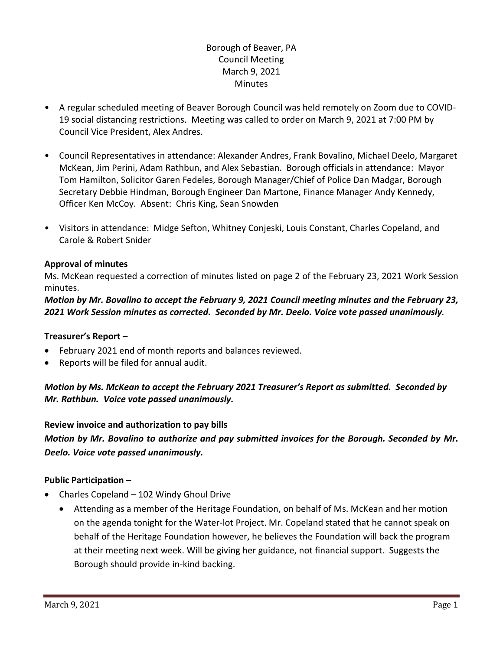# Borough of Beaver, PA Council Meeting March 9, 2021 **Minutes**

- A regular scheduled meeting of Beaver Borough Council was held remotely on Zoom due to COVID-19 social distancing restrictions. Meeting was called to order on March 9, 2021 at 7:00 PM by Council Vice President, Alex Andres.
- Council Representatives in attendance: Alexander Andres, Frank Bovalino, Michael Deelo, Margaret McKean, Jim Perini, Adam Rathbun, and Alex Sebastian. Borough officials in attendance: Mayor Tom Hamilton, Solicitor Garen Fedeles, Borough Manager/Chief of Police Dan Madgar, Borough Secretary Debbie Hindman, Borough Engineer Dan Martone, Finance Manager Andy Kennedy, Officer Ken McCoy. Absent: Chris King, Sean Snowden
- Visitors in attendance: Midge Sefton, Whitney Conjeski, Louis Constant, Charles Copeland, and Carole & Robert Snider

### **Approval of minutes**

Ms. McKean requested a correction of minutes listed on page 2 of the February 23, 2021 Work Session minutes.

*Motion by Mr. Bovalino to accept the February 9, 2021 Council meeting minutes and the February 23, 2021 Work Session minutes as corrected. Seconded by Mr. Deelo. Voice vote passed unanimously.* 

#### **Treasurer's Report –**

- February 2021 end of month reports and balances reviewed.
- Reports will be filed for annual audit.

*Motion by Ms. McKean to accept the February 2021 Treasurer's Report as submitted. Seconded by Mr. Rathbun. Voice vote passed unanimously.*

**Review invoice and authorization to pay bills**

*Motion by Mr. Bovalino to authorize and pay submitted invoices for the Borough. Seconded by Mr. Deelo. Voice vote passed unanimously.*

#### **Public Participation –**

- Charles Copeland 102 Windy Ghoul Drive
	- Attending as a member of the Heritage Foundation, on behalf of Ms. McKean and her motion on the agenda tonight for the Water-lot Project. Mr. Copeland stated that he cannot speak on behalf of the Heritage Foundation however, he believes the Foundation will back the program at their meeting next week. Will be giving her guidance, not financial support. Suggests the Borough should provide in-kind backing.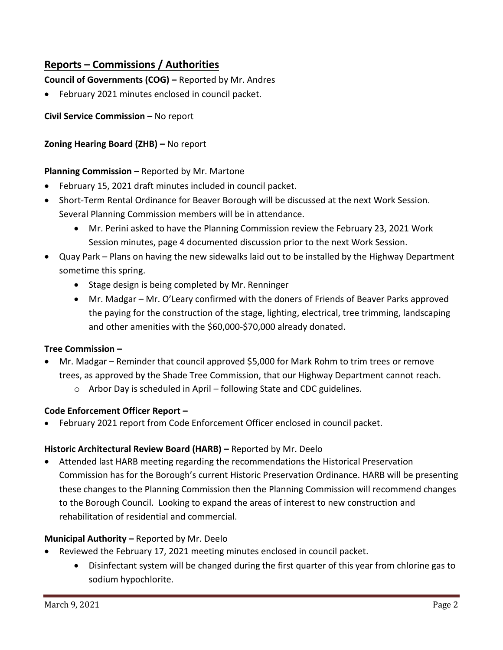# **Reports – Commissions / Authorities**

**Council of Governments (COG) –** Reported by Mr. Andres

February 2021 minutes enclosed in council packet.

# **Civil Service Commission –** No report

# **Zoning Hearing Board (ZHB) –** No report

# **Planning Commission –** Reported by Mr. Martone

- February 15, 2021 draft minutes included in council packet.
- Short-Term Rental Ordinance for Beaver Borough will be discussed at the next Work Session. Several Planning Commission members will be in attendance.
	- Mr. Perini asked to have the Planning Commission review the February 23, 2021 Work Session minutes, page 4 documented discussion prior to the next Work Session.
- Quay Park Plans on having the new sidewalks laid out to be installed by the Highway Department sometime this spring.
	- Stage design is being completed by Mr. Renninger
	- Mr. Madgar Mr. O'Leary confirmed with the doners of Friends of Beaver Parks approved the paying for the construction of the stage, lighting, electrical, tree trimming, landscaping and other amenities with the \$60,000-\$70,000 already donated.

# **Tree Commission –**

- Mr. Madgar Reminder that council approved \$5,000 for Mark Rohm to trim trees or remove trees, as approved by the Shade Tree Commission, that our Highway Department cannot reach.
	- o Arbor Day is scheduled in April following State and CDC guidelines.

# **Code Enforcement Officer Report –**

February 2021 report from Code Enforcement Officer enclosed in council packet.

# **Historic Architectural Review Board (HARB) –** Reported by Mr. Deelo

 Attended last HARB meeting regarding the recommendations the Historical Preservation Commission has for the Borough's current Historic Preservation Ordinance. HARB will be presenting these changes to the Planning Commission then the Planning Commission will recommend changes to the Borough Council. Looking to expand the areas of interest to new construction and rehabilitation of residential and commercial.

# **Municipal Authority –** Reported by Mr. Deelo

- Reviewed the February 17, 2021 meeting minutes enclosed in council packet.
	- Disinfectant system will be changed during the first quarter of this year from chlorine gas to sodium hypochlorite.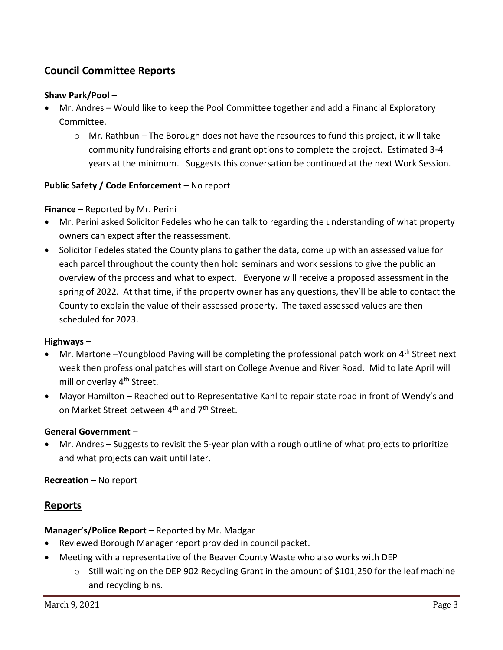# **Council Committee Reports**

#### **Shaw Park/Pool –**

- Mr. Andres Would like to keep the Pool Committee together and add a Financial Exploratory Committee.
	- $\circ$  Mr. Rathbun The Borough does not have the resources to fund this project, it will take community fundraising efforts and grant options to complete the project. Estimated 3-4 years at the minimum. Suggests this conversation be continued at the next Work Session.

### **Public Safety / Code Enforcement –** No report

#### **Finance** – Reported by Mr. Perini

- Mr. Perini asked Solicitor Fedeles who he can talk to regarding the understanding of what property owners can expect after the reassessment.
- Solicitor Fedeles stated the County plans to gather the data, come up with an assessed value for each parcel throughout the county then hold seminars and work sessions to give the public an overview of the process and what to expect. Everyone will receive a proposed assessment in the spring of 2022. At that time, if the property owner has any questions, they'll be able to contact the County to explain the value of their assessed property. The taxed assessed values are then scheduled for 2023.

#### **Highways –**

- Mr. Martone –Youngblood Paving will be completing the professional patch work on  $4<sup>th</sup>$  Street next week then professional patches will start on College Avenue and River Road. Mid to late April will mill or overlay 4<sup>th</sup> Street.
- Mayor Hamilton Reached out to Representative Kahl to repair state road in front of Wendy's and on Market Street between 4<sup>th</sup> and 7<sup>th</sup> Street.

#### **General Government –**

 Mr. Andres – Suggests to revisit the 5-year plan with a rough outline of what projects to prioritize and what projects can wait until later.

#### **Recreation –** No report

# **Reports**

#### **Manager's/Police Report –** Reported by Mr. Madgar

- Reviewed Borough Manager report provided in council packet.
- Meeting with a representative of the Beaver County Waste who also works with DEP
	- $\circ$  Still waiting on the DEP 902 Recycling Grant in the amount of \$101,250 for the leaf machine and recycling bins.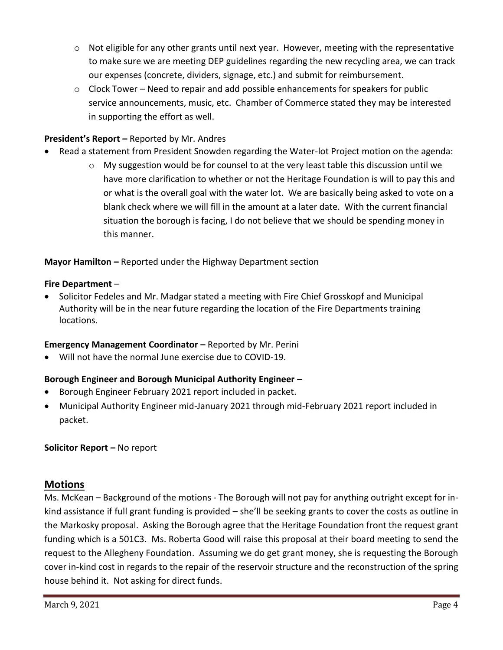- $\circ$  Not eligible for any other grants until next year. However, meeting with the representative to make sure we are meeting DEP guidelines regarding the new recycling area, we can track our expenses (concrete, dividers, signage, etc.) and submit for reimbursement.
- $\circ$  Clock Tower Need to repair and add possible enhancements for speakers for public service announcements, music, etc. Chamber of Commerce stated they may be interested in supporting the effort as well.

# **President's Report –** Reported by Mr. Andres

- Read a statement from President Snowden regarding the Water-lot Project motion on the agenda:
	- $\circ$  My suggestion would be for counsel to at the very least table this discussion until we have more clarification to whether or not the Heritage Foundation is will to pay this and or what is the overall goal with the water lot. We are basically being asked to vote on a blank check where we will fill in the amount at a later date. With the current financial situation the borough is facing, I do not believe that we should be spending money in this manner.

**Mayor Hamilton –** Reported under the Highway Department section

### **Fire Department** –

 Solicitor Fedeles and Mr. Madgar stated a meeting with Fire Chief Grosskopf and Municipal Authority will be in the near future regarding the location of the Fire Departments training locations.

# **Emergency Management Coordinator - Reported by Mr. Perini**

Will not have the normal June exercise due to COVID-19.

# **Borough Engineer and Borough Municipal Authority Engineer –**

- Borough Engineer February 2021 report included in packet.
- Municipal Authority Engineer mid-January 2021 through mid-February 2021 report included in packet.

# **Solicitor Report –** No report

# **Motions**

Ms. McKean – Background of the motions - The Borough will not pay for anything outright except for inkind assistance if full grant funding is provided – she'll be seeking grants to cover the costs as outline in the Markosky proposal. Asking the Borough agree that the Heritage Foundation front the request grant funding which is a 501C3. Ms. Roberta Good will raise this proposal at their board meeting to send the request to the Allegheny Foundation. Assuming we do get grant money, she is requesting the Borough cover in-kind cost in regards to the repair of the reservoir structure and the reconstruction of the spring house behind it. Not asking for direct funds.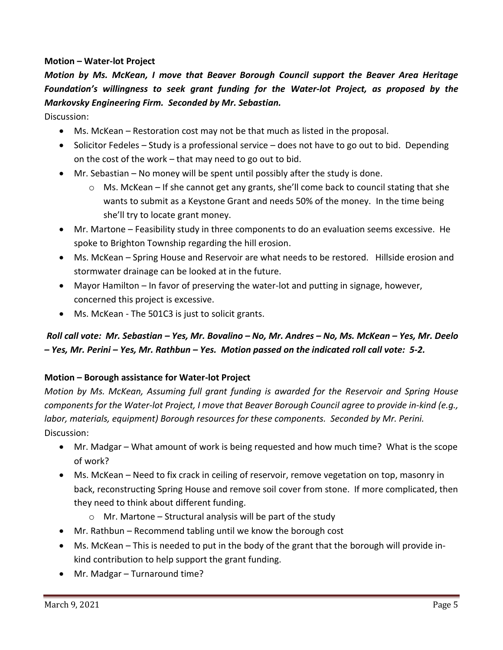### **Motion – Water-lot Project**

*Motion by Ms. McKean, I move that Beaver Borough Council support the Beaver Area Heritage Foundation's willingness to seek grant funding for the Water-lot Project, as proposed by the Markovsky Engineering Firm. Seconded by Mr. Sebastian.* 

Discussion:

- Ms. McKean Restoration cost may not be that much as listed in the proposal.
- $\bullet$  Solicitor Fedeles Study is a professional service does not have to go out to bid. Depending on the cost of the work – that may need to go out to bid.
- Mr. Sebastian No money will be spent until possibly after the study is done.
	- $\circ$  Ms. McKean If she cannot get any grants, she'll come back to council stating that she wants to submit as a Keystone Grant and needs 50% of the money. In the time being she'll try to locate grant money.
- Mr. Martone Feasibility study in three components to do an evaluation seems excessive. He spoke to Brighton Township regarding the hill erosion.
- Ms. McKean Spring House and Reservoir are what needs to be restored. Hillside erosion and stormwater drainage can be looked at in the future.
- Mayor Hamilton In favor of preserving the water-lot and putting in signage, however, concerned this project is excessive.
- Ms. McKean The 501C3 is just to solicit grants.

# *Roll call vote: Mr. Sebastian – Yes, Mr. Bovalino – No, Mr. Andres – No, Ms. McKean – Yes, Mr. Deelo – Yes, Mr. Perini – Yes, Mr. Rathbun – Yes. Motion passed on the indicated roll call vote: 5-2.*

# **Motion – Borough assistance for Water-lot Project**

*Motion by Ms. McKean, Assuming full grant funding is awarded for the Reservoir and Spring House components for the Water-lot Project, I move that Beaver Borough Council agree to provide in-kind (e.g., labor, materials, equipment) Borough resources for these components. Seconded by Mr. Perini.*  Discussion:

- Mr. Madgar What amount of work is being requested and how much time? What is the scope of work?
- Ms. McKean Need to fix crack in ceiling of reservoir, remove vegetation on top, masonry in back, reconstructing Spring House and remove soil cover from stone. If more complicated, then they need to think about different funding.
	- $\circ$  Mr. Martone Structural analysis will be part of the study
- Mr. Rathbun Recommend tabling until we know the borough cost
- Ms. McKean This is needed to put in the body of the grant that the borough will provide inkind contribution to help support the grant funding.
- Mr. Madgar Turnaround time?